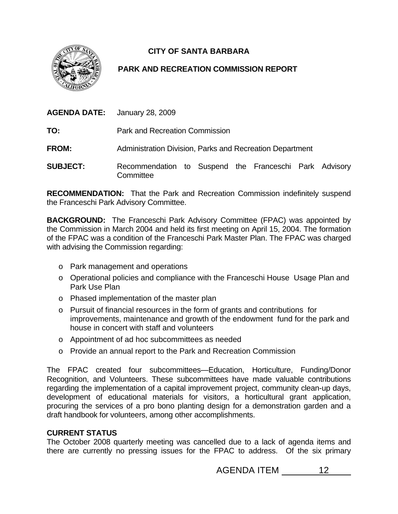

## **CITY OF SANTA BARBARA**

## **PARK AND RECREATION COMMISSION REPORT**

|                 | <b>AGENDA DATE:</b> January 28, 2009                     |
|-----------------|----------------------------------------------------------|
| TO:             | <b>Park and Recreation Commission</b>                    |
| <b>FROM:</b>    | Administration Division, Parks and Recreation Department |
| <b>SUBJECT:</b> | Recommendation to Suspend the Franceschi Park Advisory   |

**RECOMMENDATION:** That the Park and Recreation Commission indefinitely suspend the Franceschi Park Advisory Committee.

**BACKGROUND:** The Franceschi Park Advisory Committee (FPAC) was appointed by the Commission in March 2004 and held its first meeting on April 15, 2004. The formation of the FPAC was a condition of the Franceschi Park Master Plan. The FPAC was charged with advising the Commission regarding:

- o Park management and operations
- o Operational policies and compliance with the Franceschi House Usage Plan and Park Use Plan
- o Phased implementation of the master plan

**Committee** 

- o Pursuit of financial resources in the form of grants and contributions for improvements, maintenance and growth of the endowment fund for the park and house in concert with staff and volunteers
- o Appointment of ad hoc subcommittees as needed
- o Provide an annual report to the Park and Recreation Commission

The FPAC created four subcommittees—Education, Horticulture, Funding/Donor Recognition, and Volunteers. These subcommittees have made valuable contributions regarding the implementation of a capital improvement project, community clean-up days, development of educational materials for visitors, a horticultural grant application, procuring the services of a pro bono planting design for a demonstration garden and a draft handbook for volunteers, among other accomplishments.

## **CURRENT STATUS**

The October 2008 quarterly meeting was cancelled due to a lack of agenda items and there are currently no pressing issues for the FPAC to address. Of the six primary

AGENDA ITEM 12